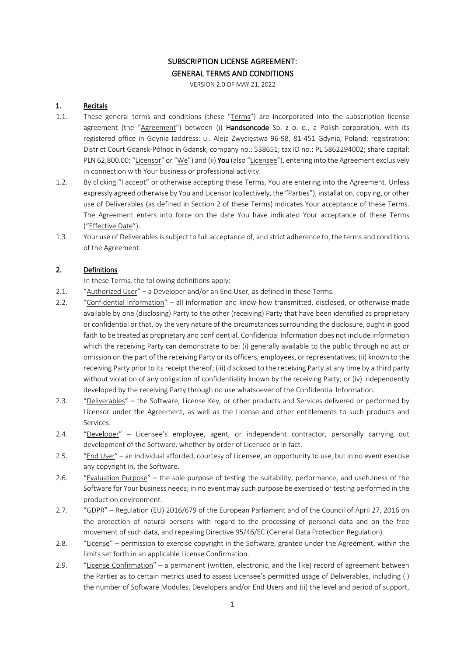# SUBSCRIPTION LICENSE AGREEMENT: GENERAL TERMS AND CONDITIONS

VERSION 2.0 OF MAY 21, 2022

### 1. Recitals

- 1.1. These general terms and conditions (these "Terms") are incorporated into the subscription license agreement (the "Agreement") between (i) Handsoncode Sp. z o. o., a Polish corporation, with its registered office in Gdynia (address: ul. Aleja Zwycięstwa 96-98, 81-451 Gdynia, Poland; registration: District Court Gdansk-Północ in Gdansk, company no.: 538651; tax ID no.: PL 5862294002; share capital: PLN 62,800.00; "Licensor" or "We") and (ii) You (also "Licensee"), entering into the Agreement exclusively in connection with Your business or professional activity.
- 1.2. By clicking "I accept" or otherwise accepting these Terms, You are entering into the Agreement. Unless expressly agreed otherwise by You and Licensor (collectively, the "Parties"), installation, copying, or other use of Deliverables (as defined in Section 2 of these Terms) indicates Your acceptance of these Terms. The Agreement enters into force on the date You have indicated Your acceptance of these Terms ("Effective Date").
- 1.3. Your use of Deliverables is subject to full acceptance of, and strict adherence to, the terms and conditions of the Agreement.

## 2. Definitions

In these Terms, the following definitions apply:

- 2.1. "Authorized User" a Developer and/or an End User, as defined in these Terms.
- 2.2. "Confidential Information" all information and know-how transmitted, disclosed, or otherwise made available by one (disclosing) Party to the other (receiving) Party that have been identified as proprietary or confidential or that, by the very nature of the circumstances surrounding the disclosure, ought in good faith to be treated as proprietary and confidential. Confidential Information does not include information which the receiving Party can demonstrate to be: (i) generally available to the public through no act or omission on the part of the receiving Party or its officers, employees, or representatives; (ii) known to the receiving Party prior to its receipt thereof; (iii) disclosed to the receiving Party at any time by a third party without violation of any obligation of confidentiality known by the receiving Party; or (iv) independently developed by the receiving Party through no use whatsoever of the Confidential Information.
- 2.3. "Deliverables" the Software, License Key, or other products and Services delivered or performed by Licensor under the Agreement, as well as the License and other entitlements to such products and Services.
- 2.4. "Developer" Licensee's employee, agent, or independent contractor, personally carrying out development of the Software, whether by order of Licensee or in fact.
- 2.5. "End User" an individual afforded, courtesy of Licensee, an opportunity to use, but in no event exercise any copyright in, the Software.
- 2.6. "Evaluation Purpose" the sole purpose of testing the suitability, performance, and usefulness of the Software for Your business needs; in no event may such purpose be exercised or testing performed in the production environment.
- 2.7. "GDPR" Regulation (EU) 2016/679 of the European Parliament and of the Council of April 27, 2016 on the protection of natural persons with regard to the processing of personal data and on the free movement of such data, and repealing Directive 95/46/EC (General Data Protection Regulation).
- 2.8. "License" permission to exercise copyright in the Software, granted under the Agreement, within the limits set forth in an applicable License Confirmation.
- 2.9. "License Confirmation" a permanent (written, electronic, and the like) record of agreement between the Parties as to certain metrics used to assess Licensee's permitted usage of Deliverables, including (i) the number of Software Modules, Developers and/or End Users and (ii) the level and period of support,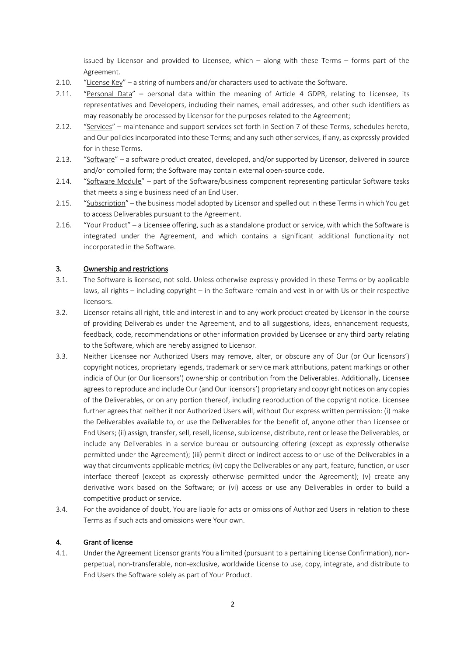issued by Licensor and provided to Licensee, which – along with these Terms – forms part of the Agreement.

- 2.10. "License Key" a string of numbers and/or characters used to activate the Software.
- 2.11. "Personal Data" personal data within the meaning of Article 4 GDPR, relating to Licensee, its representatives and Developers, including their names, email addresses, and other such identifiers as may reasonably be processed by Licensor for the purposes related to the Agreement;
- 2.12. "Services" maintenance and support services set forth in Section 7 of these Terms, schedules hereto, and Our policies incorporated into these Terms; and any such other services, if any, as expressly provided for in these Terms.
- 2.13. "Software" a software product created, developed, and/or supported by Licensor, delivered in source and/or compiled form; the Software may contain external open-source code.
- 2.14. "Software Module" part of the Software/business component representing particular Software tasks that meets a single business need of an End User.
- 2.15. "Subscription" the business model adopted by Licensor and spelled out in these Terms in which You get to access Deliverables pursuant to the Agreement.
- 2.16. "Your Product" a Licensee offering, such as a standalone product or service, with which the Software is integrated under the Agreement, and which contains a significant additional functionality not incorporated in the Software.

#### 3. Ownership and restrictions

- 3.1. The Software is licensed, not sold. Unless otherwise expressly provided in these Terms or by applicable laws, all rights – including copyright – in the Software remain and vest in or with Us or their respective licensors.
- 3.2. Licensor retains all right, title and interest in and to any work product created by Licensor in the course of providing Deliverables under the Agreement, and to all suggestions, ideas, enhancement requests, feedback, code, recommendations or other information provided by Licensee or any third party relating to the Software, which are hereby assigned to Licensor.
- 3.3. Neither Licensee nor Authorized Users may remove, alter, or obscure any of Our (or Our licensors') copyright notices, proprietary legends, trademark or service mark attributions, patent markings or other indicia of Our (or Our licensors') ownership or contribution from the Deliverables. Additionally, Licensee agrees to reproduce and include Our (and Our licensors') proprietary and copyright notices on any copies of the Deliverables, or on any portion thereof, including reproduction of the copyright notice. Licensee further agrees that neither it nor Authorized Users will, without Our express written permission: (i) make the Deliverables available to, or use the Deliverables for the benefit of, anyone other than Licensee or End Users; (ii) assign, transfer, sell, resell, license, sublicense, distribute, rent or lease the Deliverables, or include any Deliverables in a service bureau or outsourcing offering (except as expressly otherwise permitted under the Agreement); (iii) permit direct or indirect access to or use of the Deliverables in a way that circumvents applicable metrics; (iv) copy the Deliverables or any part, feature, function, or user interface thereof (except as expressly otherwise permitted under the Agreement); (v) create any derivative work based on the Software; or (vi) access or use any Deliverables in order to build a competitive product or service.
- 3.4. For the avoidance of doubt, You are liable for acts or omissions of Authorized Users in relation to these Terms as if such acts and omissions were Your own.

#### 4. Grant of license

4.1. Under the Agreement Licensor grants You a limited (pursuant to a pertaining License Confirmation), nonperpetual, non-transferable, non-exclusive, worldwide License to use, copy, integrate, and distribute to End Users the Software solely as part of Your Product.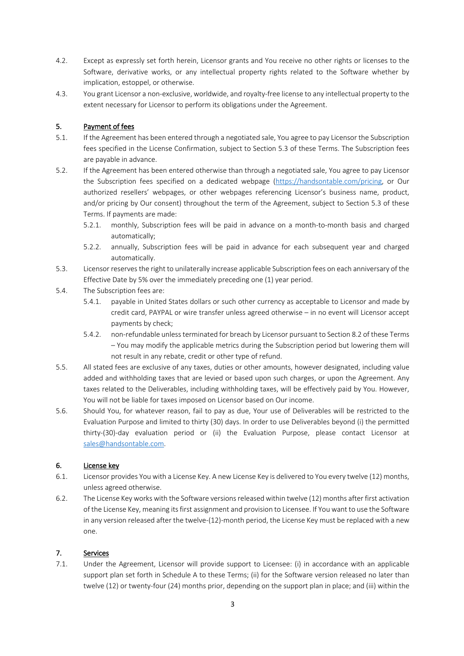- 4.2. Except as expressly set forth herein, Licensor grants and You receive no other rights or licenses to the Software, derivative works, or any intellectual property rights related to the Software whether by implication, estoppel, or otherwise.
- 4.3. You grant Licensor a non-exclusive, worldwide, and royalty-free license to any intellectual property to the extent necessary for Licensor to perform its obligations under the Agreement.

### 5. Payment of fees

- 5.1. If the Agreement has been entered through a negotiated sale, You agree to pay Licensor the Subscription fees specified in the License Confirmation, subject to Section 5.3 of these Terms. The Subscription fees are payable in advance.
- 5.2. If the Agreement has been entered otherwise than through a negotiated sale, You agree to pay Licensor the Subscription fees specified on a dedicated webpage (https://handsontable.com/pricing, or Our authorized resellers' webpages, or other webpages referencing Licensor's business name, product, and/or pricing by Our consent) throughout the term of the Agreement, subject to Section 5.3 of these Terms. If payments are made:
	- 5.2.1. monthly, Subscription fees will be paid in advance on a month-to-month basis and charged automatically;
	- 5.2.2. annually, Subscription fees will be paid in advance for each subsequent year and charged automatically.
- 5.3. Licensor reserves the right to unilaterally increase applicable Subscription fees on each anniversary of the Effective Date by 5% over the immediately preceding one (1) year period.
- 5.4. The Subscription fees are:
	- 5.4.1. payable in United States dollars or such other currency as acceptable to Licensor and made by credit card, PAYPAL or wire transfer unless agreed otherwise – in no event will Licensor accept payments by check;
	- 5.4.2. non-refundable unless terminated for breach by Licensor pursuant to Section 8.2 of these Terms – You may modify the applicable metrics during the Subscription period but lowering them will not result in any rebate, credit or other type of refund.
- 5.5. All stated fees are exclusive of any taxes, duties or other amounts, however designated, including value added and withholding taxes that are levied or based upon such charges, or upon the Agreement. Any taxes related to the Deliverables, including withholding taxes, will be effectively paid by You. However, You will not be liable for taxes imposed on Licensor based on Our income.
- 5.6. Should You, for whatever reason, fail to pay as due, Your use of Deliverables will be restricted to the Evaluation Purpose and limited to thirty (30) days. In order to use Deliverables beyond (i) the permitted thirty-(30)-day evaluation period or (ii) the Evaluation Purpose, please contact Licensor at sales@handsontable.com.

## 6. License key

- 6.1. Licensor provides You with a License Key. A new License Key is delivered to You every twelve (12) months, unless agreed otherwise.
- 6.2. The License Key works with the Software versions released within twelve (12) months after first activation of the License Key, meaning its first assignment and provision to Licensee. If You want to use the Software in any version released after the twelve-(12)-month period, the License Key must be replaced with a new one.

## 7. Services

7.1. Under the Agreement, Licensor will provide support to Licensee: (i) in accordance with an applicable support plan set forth in Schedule A to these Terms; (ii) for the Software version released no later than twelve (12) or twenty-four (24) months prior, depending on the support plan in place; and (iii) within the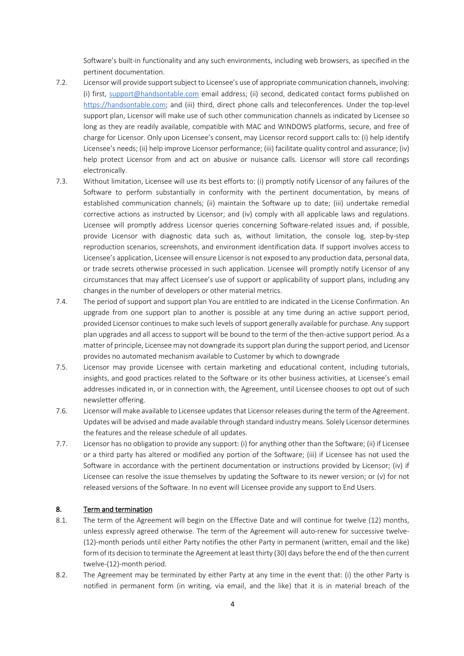Software's built-in functionality and any such environments, including web browsers, as specified in the pertinent documentation.

- 7.2. Licensor will provide support subject to Licensee's use of appropriate communication channels, involving: (i) first, support@handsontable.com email address; (ii) second, dedicated contact forms published on https://handsontable.com; and (iii) third, direct phone calls and teleconferences. Under the top-level support plan, Licensor will make use of such other communication channels as indicated by Licensee so long as they are readily available, compatible with MAC and WINDOWS platforms, secure, and free of charge for Licensor. Only upon Licensee's consent, may Licensor record support calls to: (i) help identify Licensee's needs; (ii) help improve Licensor performance; (iii) facilitate quality control and assurance; (iv) help protect Licensor from and act on abusive or nuisance calls. Licensor will store call recordings electronically.
- 7.3. Without limitation, Licensee will use its best efforts to: (i) promptly notify Licensor of any failures of the Software to perform substantially in conformity with the pertinent documentation, by means of established communication channels; (ii) maintain the Software up to date; (iii) undertake remedial corrective actions as instructed by Licensor; and (iv) comply with all applicable laws and regulations. Licensee will promptly address Licensor queries concerning Software-related issues and, if possible, provide Licensor with diagnostic data such as, without limitation, the console log, step-by-step reproduction scenarios, screenshots, and environment identification data. If support involves access to Licensee's application, Licensee will ensure Licensor is not exposed to any production data, personal data, or trade secrets otherwise processed in such application. Licensee will promptly notify Licensor of any circumstances that may affect Licensee's use of support or applicability of support plans, including any changes in the number of developers or other material metrics.
- 7.4. The period of support and support plan You are entitled to are indicated in the License Confirmation. An upgrade from one support plan to another is possible at any time during an active support period, provided Licensor continues to make such levels of support generally available for purchase. Any support plan upgrades and all access to support will be bound to the term of the then-active support period. As a matter of principle, Licensee may not downgrade its support plan during the support period, and Licensor provides no automated mechanism available to Customer by which to downgrade
- 7.5. Licensor may provide Licensee with certain marketing and educational content, including tutorials, insights, and good practices related to the Software or its other business activities, at Licensee's email addresses indicated in, or in connection with, the Agreement, until Licensee chooses to opt out of such newsletter offering.
- 7.6. Licensor will make available to Licensee updates that Licensor releases during the term of the Agreement. Updates will be advised and made available through standard industry means. Solely Licensor determines the features and the release schedule of all updates.
- 7.7. Licensor has no obligation to provide any support: (i) for anything other than the Software; (ii) if Licensee or a third party has altered or modified any portion of the Software; (iii) if Licensee has not used the Software in accordance with the pertinent documentation or instructions provided by Licensor; (iv) if Licensee can resolve the issue themselves by updating the Software to its newer version; or (v) for not released versions of the Software. In no event will Licensee provide any support to End Users.

#### 8. Term and termination

- 8.1. The term of the Agreement will begin on the Effective Date and will continue for twelve (12) months, unless expressly agreed otherwise. The term of the Agreement will auto-renew for successive twelve- (12)-month periods until either Party notifies the other Party in permanent (written, email and the like) form of its decision to terminate the Agreement at least thirty (30) days before the end of the then current twelve-(12)-month period.
- 8.2. The Agreement may be terminated by either Party at any time in the event that: (i) the other Party is notified in permanent form (in writing, via email, and the like) that it is in material breach of the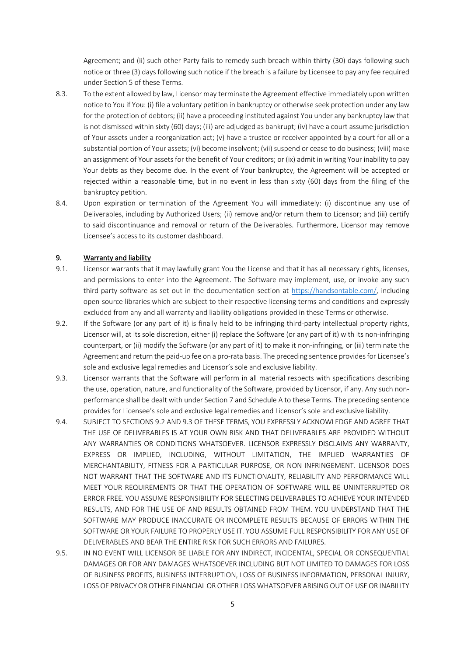Agreement; and (ii) such other Party fails to remedy such breach within thirty (30) days following such notice or three (3) days following such notice if the breach is a failure by Licensee to pay any fee required under Section 5 of these Terms.

- 8.3. To the extent allowed by law, Licensor may terminate the Agreement effective immediately upon written notice to You if You: (i) file a voluntary petition in bankruptcy or otherwise seek protection under any law for the protection of debtors; (ii) have a proceeding instituted against You under any bankruptcy law that is not dismissed within sixty (60) days; (iii) are adjudged as bankrupt; (iv) have a court assume jurisdiction of Your assets under a reorganization act; (v) have a trustee or receiver appointed by a court for all or a substantial portion of Your assets; (vi) become insolvent; (vii) suspend or cease to do business; (viii) make an assignment of Your assets for the benefit of Your creditors; or (ix) admit in writing Your inability to pay Your debts as they become due. In the event of Your bankruptcy, the Agreement will be accepted or rejected within a reasonable time, but in no event in less than sixty (60) days from the filing of the bankruptcy petition.
- 8.4. Upon expiration or termination of the Agreement You will immediately: (i) discontinue any use of Deliverables, including by Authorized Users; (ii) remove and/or return them to Licensor; and (iii) certify to said discontinuance and removal or return of the Deliverables. Furthermore, Licensor may remove Licensee's access to its customer dashboard.

#### 9. Warranty and liability

- 9.1. Licensor warrants that it may lawfully grant You the License and that it has all necessary rights, licenses, and permissions to enter into the Agreement. The Software may implement, use, or invoke any such third-party software as set out in the documentation section at https://handsontable.com/, including open-source libraries which are subject to their respective licensing terms and conditions and expressly excluded from any and all warranty and liability obligations provided in these Terms or otherwise.
- 9.2. If the Software (or any part of it) is finally held to be infringing third-party intellectual property rights, Licensor will, at its sole discretion, either (i) replace the Software (or any part of it) with its non-infringing counterpart, or (ii) modify the Software (or any part of it) to make it non-infringing, or (iii) terminate the Agreement and return the paid-up fee on a pro-rata basis. The preceding sentence provides for Licensee's sole and exclusive legal remedies and Licensor's sole and exclusive liability.
- 9.3. Licensor warrants that the Software will perform in all material respects with specifications describing the use, operation, nature, and functionality of the Software, provided by Licensor, if any. Any such nonperformance shall be dealt with under Section 7 and Schedule A to these Terms. The preceding sentence provides for Licensee's sole and exclusive legal remedies and Licensor's sole and exclusive liability.
- 9.4. SUBJECT TO SECTIONS 9.2 AND 9.3 OF THESE TERMS, YOU EXPRESSLY ACKNOWLEDGE AND AGREE THAT THE USE OF DELIVERABLES IS AT YOUR OWN RISK AND THAT DELIVERABLES ARE PROVIDED WITHOUT ANY WARRANTIES OR CONDITIONS WHATSOEVER. LICENSOR EXPRESSLY DISCLAIMS ANY WARRANTY, EXPRESS OR IMPLIED, INCLUDING, WITHOUT LIMITATION, THE IMPLIED WARRANTIES OF MERCHANTABILITY, FITNESS FOR A PARTICULAR PURPOSE, OR NON-INFRINGEMENT. LICENSOR DOES NOT WARRANT THAT THE SOFTWARE AND ITS FUNCTIONALITY, RELIABILITY AND PERFORMANCE WILL MEET YOUR REQUIREMENTS OR THAT THE OPERATION OF SOFTWARE WILL BE UNINTERRUPTED OR ERROR FREE. YOU ASSUME RESPONSIBILITY FOR SELECTING DELIVERABLES TO ACHIEVE YOUR INTENDED RESULTS, AND FOR THE USE OF AND RESULTS OBTAINED FROM THEM. YOU UNDERSTAND THAT THE SOFTWARE MAY PRODUCE INACCURATE OR INCOMPLETE RESULTS BECAUSE OF ERRORS WITHIN THE SOFTWARE OR YOUR FAILURE TO PROPERLY USE IT. YOU ASSUME FULL RESPONSIBILITY FOR ANY USE OF DELIVERABLES AND BEAR THE ENTIRE RISK FOR SUCH ERRORS AND FAILURES.
- 9.5. IN NO EVENT WILL LICENSOR BE LIABLE FOR ANY INDIRECT, INCIDENTAL, SPECIAL OR CONSEQUENTIAL DAMAGES OR FOR ANY DAMAGES WHATSOEVER INCLUDING BUT NOT LIMITED TO DAMAGES FOR LOSS OF BUSINESS PROFITS, BUSINESS INTERRUPTION, LOSS OF BUSINESS INFORMATION, PERSONAL INJURY, LOSS OF PRIVACY OR OTHER FINANCIAL OR OTHER LOSS WHATSOEVER ARISING OUT OF USE OR INABILITY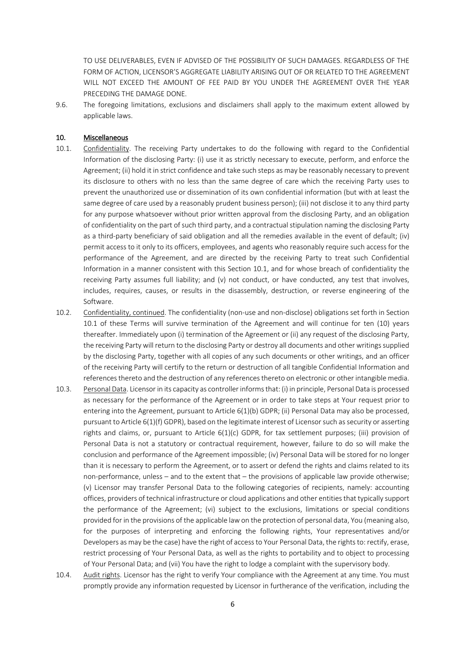TO USE DELIVERABLES, EVEN IF ADVISED OF THE POSSIBILITY OF SUCH DAMAGES. REGARDLESS OF THE FORM OF ACTION, LICENSOR'S AGGREGATE LIABILITY ARISING OUT OF OR RELATED TO THE AGREEMENT WILL NOT EXCEED THE AMOUNT OF FEE PAID BY YOU UNDER THE AGREEMENT OVER THE YEAR PRECEDING THE DAMAGE DONE.

9.6. The foregoing limitations, exclusions and disclaimers shall apply to the maximum extent allowed by applicable laws.

#### 10. Miscellaneous

- 10.1. Confidentiality. The receiving Party undertakes to do the following with regard to the Confidential Information of the disclosing Party: (i) use it as strictly necessary to execute, perform, and enforce the Agreement; (ii) hold it in strict confidence and take such steps as may be reasonably necessary to prevent its disclosure to others with no less than the same degree of care which the receiving Party uses to prevent the unauthorized use or dissemination of its own confidential information (but with at least the same degree of care used by a reasonably prudent business person); (iii) not disclose it to any third party for any purpose whatsoever without prior written approval from the disclosing Party, and an obligation of confidentiality on the part of such third party, and a contractual stipulation naming the disclosing Party as a third-party beneficiary of said obligation and all the remedies available in the event of default; (iv) permit access to it only to its officers, employees, and agents who reasonably require such access for the performance of the Agreement, and are directed by the receiving Party to treat such Confidential Information in a manner consistent with this Section 10.1, and for whose breach of confidentiality the receiving Party assumes full liability; and (v) not conduct, or have conducted, any test that involves, includes, requires, causes, or results in the disassembly, destruction, or reverse engineering of the Software.
- 10.2. Confidentiality, continued. The confidentiality (non-use and non-disclose) obligations set forth in Section 10.1 of these Terms will survive termination of the Agreement and will continue for ten (10) years thereafter. Immediately upon (i) termination of the Agreement or (ii) any request of the disclosing Party, the receiving Party will return to the disclosing Party or destroy all documents and other writings supplied by the disclosing Party, together with all copies of any such documents or other writings, and an officer of the receiving Party will certify to the return or destruction of all tangible Confidential Information and references thereto and the destruction of any references thereto on electronic or other intangible media.
- 10.3. Personal Data. Licensor in its capacity as controller informs that: (i) in principle, Personal Data is processed as necessary for the performance of the Agreement or in order to take steps at Your request prior to entering into the Agreement, pursuant to Article 6(1)(b) GDPR; (ii) Personal Data may also be processed, pursuant to Article 6(1)(f) GDPR), based on the legitimate interest of Licensor such as security or asserting rights and claims, or, pursuant to Article 6(1)(c) GDPR, for tax settlement purposes; (iii) provision of Personal Data is not a statutory or contractual requirement, however, failure to do so will make the conclusion and performance of the Agreement impossible; (iv) Personal Data will be stored for no longer than it is necessary to perform the Agreement, or to assert or defend the rights and claims related to its non-performance, unless – and to the extent that – the provisions of applicable law provide otherwise; (v) Licensor may transfer Personal Data to the following categories of recipients, namely: accounting offices, providers of technical infrastructure or cloud applications and other entities that typically support the performance of the Agreement; (vi) subject to the exclusions, limitations or special conditions provided for in the provisions of the applicable law on the protection of personal data, You (meaning also, for the purposes of interpreting and enforcing the following rights, Your representatives and/or Developers as may be the case) have the right of access to Your Personal Data, the rights to: rectify, erase, restrict processing of Your Personal Data, as well as the rights to portability and to object to processing of Your Personal Data; and (vii) You have the right to lodge a complaint with the supervisory body.
- 10.4. Audit rights. Licensor has the right to verify Your compliance with the Agreement at any time. You must promptly provide any information requested by Licensor in furtherance of the verification, including the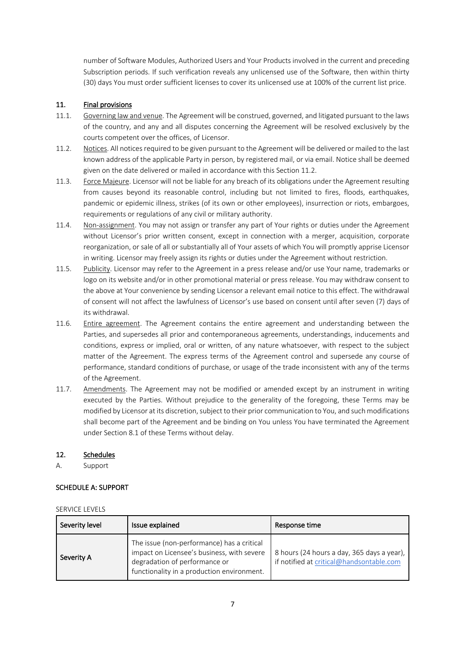number of Software Modules, Authorized Users and Your Products involved in the current and preceding Subscription periods. If such verification reveals any unlicensed use of the Software, then within thirty (30) days You must order sufficient licenses to cover its unlicensed use at 100% of the current list price.

## 11. Final provisions

- 11.1. Governing law and venue. The Agreement will be construed, governed, and litigated pursuant to the laws of the country, and any and all disputes concerning the Agreement will be resolved exclusively by the courts competent over the offices, of Licensor.
- 11.2. Notices. All notices required to be given pursuant to the Agreement will be delivered or mailed to the last known address of the applicable Party in person, by registered mail, or via email. Notice shall be deemed given on the date delivered or mailed in accordance with this Section 11.2.
- 11.3. Force Majeure. Licensor will not be liable for any breach of its obligations under the Agreement resulting from causes beyond its reasonable control, including but not limited to fires, floods, earthquakes, pandemic or epidemic illness, strikes (of its own or other employees), insurrection or riots, embargoes, requirements or regulations of any civil or military authority.
- 11.4. Non-assignment. You may not assign or transfer any part of Your rights or duties under the Agreement without Licensor's prior written consent, except in connection with a merger, acquisition, corporate reorganization, or sale of all or substantially all of Your assets of which You will promptly apprise Licensor in writing. Licensor may freely assign its rights or duties under the Agreement without restriction.
- 11.5. Publicity. Licensor may refer to the Agreement in a press release and/or use Your name, trademarks or logo on its website and/or in other promotional material or press release. You may withdraw consent to the above at Your convenience by sending Licensor a relevant email notice to this effect. The withdrawal of consent will not affect the lawfulness of Licensor's use based on consent until after seven (7) days of its withdrawal.
- 11.6. Entire agreement. The Agreement contains the entire agreement and understanding between the Parties, and supersedes all prior and contemporaneous agreements, understandings, inducements and conditions, express or implied, oral or written, of any nature whatsoever, with respect to the subject matter of the Agreement. The express terms of the Agreement control and supersede any course of performance, standard conditions of purchase, or usage of the trade inconsistent with any of the terms of the Agreement.
- 11.7. Amendments. The Agreement may not be modified or amended except by an instrument in writing executed by the Parties. Without prejudice to the generality of the foregoing, these Terms may be modified by Licensor at its discretion, subject to their prior communication to You, and such modifications shall become part of the Agreement and be binding on You unless You have terminated the Agreement under Section 8.1 of these Terms without delay.

### 12. Schedules

A. Support

### SCHEDULE A: SUPPORT

#### SERVICE LEVELS

| Severity level | Issue explained                                                                                                                                                         | Response time                                                                          |
|----------------|-------------------------------------------------------------------------------------------------------------------------------------------------------------------------|----------------------------------------------------------------------------------------|
| Severity A     | The issue (non-performance) has a critical<br>impact on Licensee's business, with severe<br>degradation of performance or<br>functionality in a production environment. | 8 hours (24 hours a day, 365 days a year),<br>if notified at critical@handsontable.com |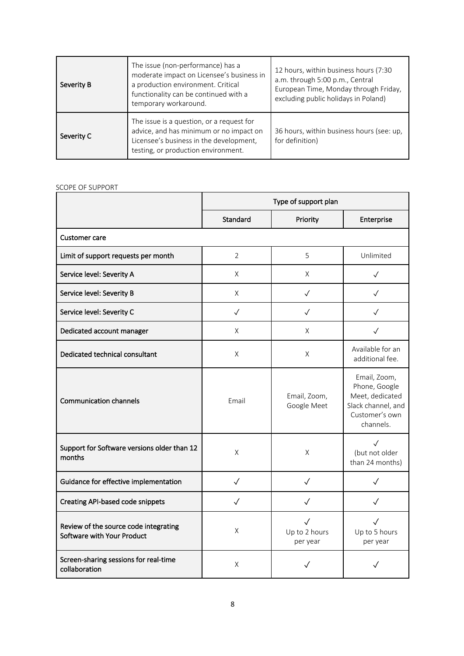| Severity B | The issue (non-performance) has a<br>moderate impact on Licensee's business in<br>a production environment. Critical<br>functionality can be continued with a<br>temporary workaround. | 12 hours, within business hours (7:30<br>a.m. through 5:00 p.m., Central<br>European Time, Monday through Friday,<br>excluding public holidays in Poland) |
|------------|----------------------------------------------------------------------------------------------------------------------------------------------------------------------------------------|-----------------------------------------------------------------------------------------------------------------------------------------------------------|
| Severity C | The issue is a question, or a request for<br>advice, and has minimum or no impact on<br>Licensee's business in the development,<br>testing, or production environment.                 | 36 hours, within business hours (see: up,<br>for definition)                                                                                              |

# SCOPE OF SUPPORT

|                                                                     | Type of support plan |                                           |                                                                                                       |
|---------------------------------------------------------------------|----------------------|-------------------------------------------|-------------------------------------------------------------------------------------------------------|
|                                                                     | Standard             | Priority                                  | Enterprise                                                                                            |
| Customer care                                                       |                      |                                           |                                                                                                       |
| Limit of support requests per month                                 | $\overline{2}$       | 5                                         | Unlimited                                                                                             |
| Service level: Severity A                                           | X                    | X                                         | $\checkmark$                                                                                          |
| Service level: Severity B                                           | X                    | $\checkmark$                              | $\sqrt{}$                                                                                             |
| Service level: Severity C                                           | $\checkmark$         | $\checkmark$                              | $\sqrt{}$                                                                                             |
| Dedicated account manager                                           | X                    | X                                         | $\checkmark$                                                                                          |
| Dedicated technical consultant                                      | X                    | X                                         | Available for an<br>additional fee.                                                                   |
| <b>Communication channels</b>                                       | Email                | Email, Zoom,<br>Google Meet               | Email, Zoom,<br>Phone, Google<br>Meet, dedicated<br>Slack channel, and<br>Customer's own<br>channels. |
| Support for Software versions older than 12<br>months               | X                    | X                                         | $\sqrt{}$<br>(but not older<br>than 24 months)                                                        |
| Guidance for effective implementation                               | $\checkmark$         | $\checkmark$                              | $\checkmark$                                                                                          |
| <b>Creating API-based code snippets</b>                             | $\checkmark$         | $\checkmark$                              | $\checkmark$                                                                                          |
| Review of the source code integrating<br>Software with Your Product | X                    | $\checkmark$<br>Up to 2 hours<br>per year | $\checkmark$<br>Up to 5 hours<br>per year                                                             |
| Screen-sharing sessions for real-time<br>collaboration              | X                    |                                           |                                                                                                       |